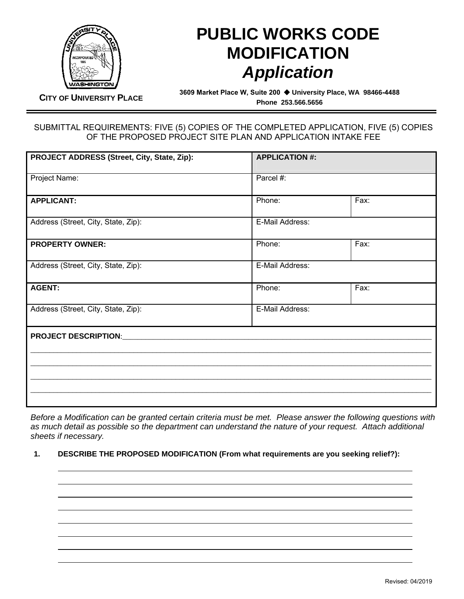

## **PUBLIC WORKS CODE MODIFICATION**  *Application*

**CITY OF UNIVERSITY PLACE**

**3609 Market Place W, Suite 200 University Place, WA 98466-4488 Phone 253.566.5656** 

## SUBMITTAL REQUIREMENTS: FIVE (5) COPIES OF THE COMPLETED APPLICATION, FIVE (5) COPIES OF THE PROPOSED PROJECT SITE PLAN AND APPLICATION INTAKE FEE

| PROJECT ADDRESS (Street, City, State, Zip): | <b>APPLICATION #:</b> |      |
|---------------------------------------------|-----------------------|------|
| Project Name:                               | Parcel #:             |      |
| <b>APPLICANT:</b>                           | Phone:                | Fax: |
| Address (Street, City, State, Zip):         | E-Mail Address:       |      |
| <b>PROPERTY OWNER:</b>                      | Phone:                | Fax: |
| Address (Street, City, State, Zip):         | E-Mail Address:       |      |
| <b>AGENT:</b>                               | Phone:                | Fax: |
| Address (Street, City, State, Zip):         | E-Mail Address:       |      |
| <b>PROJECT DESCRIPTION:</b>                 |                       |      |
|                                             |                       |      |
|                                             |                       |      |
|                                             |                       |      |

*Before a Modification can be granted certain criteria must be met. Please answer the following questions with as much detail as possible so the department can understand the nature of your request. Attach additional sheets if necessary.* 

## **1. DESCRIBE THE PROPOSED MODIFICATION (From what requirements are you seeking relief?):**